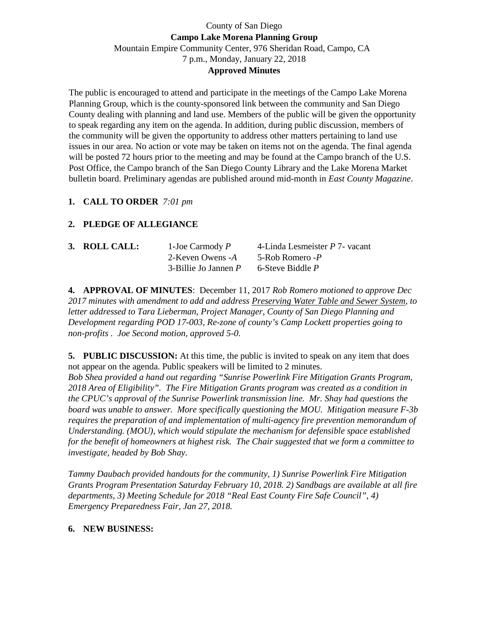# County of San Diego **Campo Lake Morena Planning Group**  Mountain Empire Community Center, 976 Sheridan Road, Campo, CA 7 p.m., Monday, January 22, 2018 **Approved Minutes**

The public is encouraged to attend and participate in the meetings of the Campo Lake Morena Planning Group, which is the county-sponsored link between the community and San Diego County dealing with planning and land use. Members of the public will be given the opportunity to speak regarding any item on the agenda. In addition, during public discussion, members of the community will be given the opportunity to address other matters pertaining to land use issues in our area. No action or vote may be taken on items not on the agenda. The final agenda will be posted 72 hours prior to the meeting and may be found at the Campo branch of the U.S. Post Office, the Campo branch of the San Diego County Library and the Lake Morena Market bulletin board. Preliminary agendas are published around mid-month in *East County Magazine*.

### **1. CALL TO ORDER** *7:01 pm*

# **2. PLEDGE OF ALLEGIANCE**

| 3. ROLL CALL: | 1-Joe Carmody $P$         | 4-Linda Lesmeister $P$ 7- vacant |
|---------------|---------------------------|----------------------------------|
|               | 2-Keven Owens -A          | 5-Rob Romero -P                  |
|               | $3$ -Billie Jo Jannen $P$ | 6-Steve Biddle P                 |

**4. APPROVAL OF MINUTES**: December 11, 2017 *Rob Romero motioned to approve Dec 2017 minutes with amendment to add and address Preserving Water Table and Sewer System, to letter addressed to Tara Lieberman, Project Manager, County of San Diego Planning and Development regarding POD 17-003, Re-zone of county's Camp Lockett properties going to non-profits . Joe Second motion, approved 5-0.*

**5. PUBLIC DISCUSSION:** At this time, the public is invited to speak on any item that does not appear on the agenda. Public speakers will be limited to 2 minutes.

*Bob Shea provided a hand out regarding "Sunrise Powerlink Fire Mitigation Grants Program, 2018 Area of Eligibility". The Fire Mitigation Grants program was created as a condition in the CPUC's approval of the Sunrise Powerlink transmission line. Mr. Shay had questions the board was unable to answer. More specifically questioning the MOU. Mitigation measure F-3b requires the preparation of and implementation of multi-agency fire prevention memorandum of Understanding. (MOU), which would stipulate the mechanism for defensible space established for the benefit of homeowners at highest risk. The Chair suggested that we form a committee to investigate, headed by Bob Shay.* 

*Tammy Daubach provided handouts for the community, 1) Sunrise Powerlink Fire Mitigation Grants Program Presentation Saturday February 10, 2018. 2) Sandbags are available at all fire departments, 3) Meeting Schedule for 2018 "Real East County Fire Safe Council", 4) Emergency Preparedness Fair, Jan 27, 2018.* 

#### **6. NEW BUSINESS:**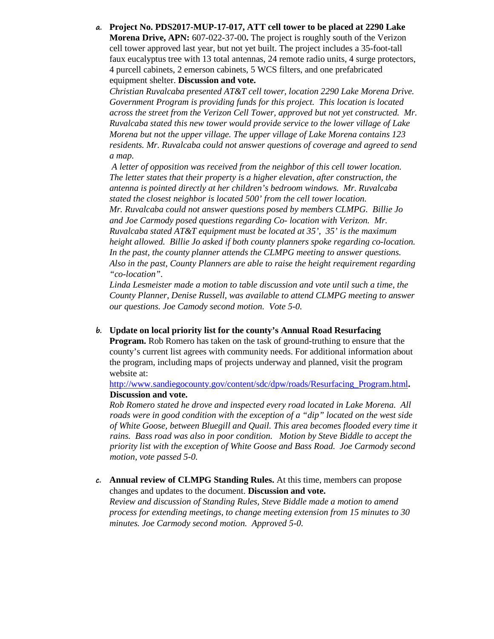**a. Project No. PDS2017-MUP-17-017, ATT cell tower to be placed at 2290 Lake Morena Drive, APN:** 607-022-37-00**.** The project is roughly south of the Verizon cell tower approved last year, but not yet built. The project includes a 35-foot-tall faux eucalyptus tree with 13 total antennas, 24 remote radio units, 4 surge protectors, 4 purcell cabinets, 2 emerson cabinets, 5 WCS filters, and one prefabricated equipment shelter. **Discussion and vote.**

*Christian Ruvalcaba presented AT&T cell tower, location 2290 Lake Morena Drive. Government Program is providing funds for this project. This location is located across the street from the Verizon Cell Tower, approved but not yet constructed. Mr. Ruvalcaba stated this new tower would provide service to the lower village of Lake Morena but not the upper village. The upper village of Lake Morena contains 123 residents. Mr. Ruvalcaba could not answer questions of coverage and agreed to send a map.* 

 *A letter of opposition was received from the neighbor of this cell tower location. The letter states that their property is a higher elevation, after construction, the antenna is pointed directly at her children's bedroom windows. Mr. Ruvalcaba stated the closest neighbor is located 500' from the cell tower location. Mr. Ruvalcaba could not answer questions posed by members CLMPG. Billie Jo and Joe Carmody posed questions regarding Co- location with Verizon. Mr. Ruvalcaba stated AT&T equipment must be located at 35', 35' is the maximum height allowed. Billie Jo asked if both county planners spoke regarding co-location. In the past, the county planner attends the CLMPG meeting to answer questions. Also in the past, County Planners are able to raise the height requirement regarding "co-location".* 

*Linda Lesmeister made a motion to table discussion and vote until such a time, the County Planner, Denise Russell, was available to attend CLMPG meeting to answer our questions. Joe Camody second motion. Vote 5-0.* 

**b. Update on local priority list for the county's Annual Road Resurfacing Program.** Rob Romero has taken on the task of ground-truthing to ensure that the county's current list agrees with community needs. For additional information about the program, including maps of projects underway and planned, visit the program website at:

http://www.sandiegocounty.gov/content/sdc/dpw/roads/Resurfacing\_Program.html**. Discussion and vote.**

*Rob Romero stated he drove and inspected every road located in Lake Morena. All roads were in good condition with the exception of a "dip" located on the west side of White Goose, between Bluegill and Quail. This area becomes flooded every time it rains. Bass road was also in poor condition. Motion by Steve Biddle to accept the priority list with the exception of White Goose and Bass Road. Joe Carmody second motion, vote passed 5-0.* 

**c. Annual review of CLMPG Standing Rules.** At this time, members can propose changes and updates to the document. **Discussion and vote.** *Review and discussion of Standing Rules, Steve Biddle made a motion to amend process for extending meetings, to change meeting extension from 15 minutes to 30 minutes. Joe Carmody second motion. Approved 5-0.*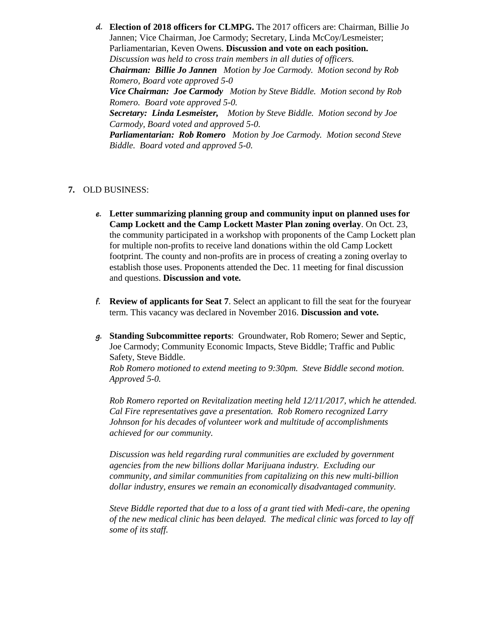**d. Election of 2018 officers for CLMPG.** The 2017 officers are: Chairman, Billie Jo Jannen; Vice Chairman, Joe Carmody; Secretary, Linda McCoy/Lesmeister; Parliamentarian, Keven Owens. **Discussion and vote on each position.** *Discussion was held to cross train members in all duties of officers. Chairman: Billie Jo Jannen Motion by Joe Carmody. Motion second by Rob Romero, Board vote approved 5-0 Vice Chairman: Joe Carmody Motion by Steve Biddle. Motion second by Rob Romero. Board vote approved 5-0. Secretary: Linda Lesmeister, Motion by Steve Biddle. Motion second by Joe Carmody, Board voted and approved 5-0. Parliamentarian: Rob Romero Motion by Joe Carmody. Motion second Steve Biddle. Board voted and approved 5-0.* 

### **7.** OLD BUSINESS:

- **e. Letter summarizing planning group and community input on planned uses for Camp Lockett and the Camp Lockett Master Plan zoning overlay**. On Oct. 23, the community participated in a workshop with proponents of the Camp Lockett plan for multiple non-profits to receive land donations within the old Camp Lockett footprint. The county and non-profits are in process of creating a zoning overlay to establish those uses. Proponents attended the Dec. 11 meeting for final discussion and questions. **Discussion and vote.**
- **f. Review of applicants for Seat 7**. Select an applicant to fill the seat for the fouryear term. This vacancy was declared in November 2016. **Discussion and vote.**
- **g. Standing Subcommittee reports**: Groundwater, Rob Romero; Sewer and Septic, Joe Carmody; Community Economic Impacts, Steve Biddle; Traffic and Public Safety, Steve Biddle. *Rob Romero motioned to extend meeting to 9:30pm. Steve Biddle second motion. Approved 5-0.*

*Rob Romero reported on Revitalization meeting held 12/11/2017, which he attended. Cal Fire representatives gave a presentation. Rob Romero recognized Larry Johnson for his decades of volunteer work and multitude of accomplishments achieved for our community.* 

*Discussion was held regarding rural communities are excluded by government agencies from the new billions dollar Marijuana industry. Excluding our community, and similar communities from capitalizing on this new multi-billion dollar industry, ensures we remain an economically disadvantaged community.* 

*Steve Biddle reported that due to a loss of a grant tied with Medi-care, the opening of the new medical clinic has been delayed. The medical clinic was forced to lay off some of its staff.*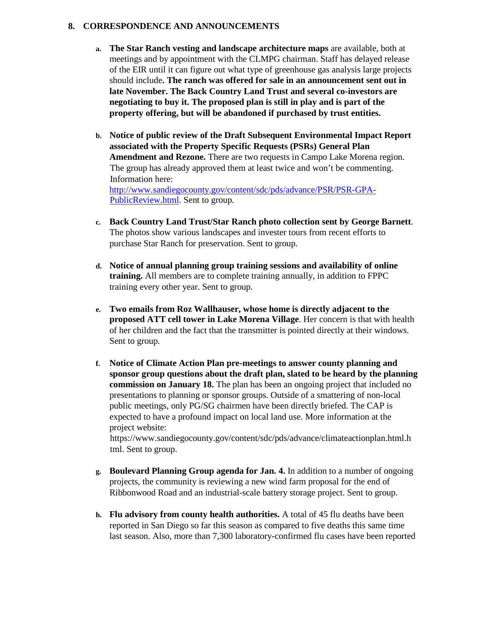### **8. CORRESPONDENCE AND ANNOUNCEMENTS**

- **a. The Star Ranch vesting and landscape architecture maps** are available, both at meetings and by appointment with the CLMPG chairman. Staff has delayed release of the EIR until it can figure out what type of greenhouse gas analysis large projects should include**. The ranch was offered for sale in an announcement sent out in late November. The Back Country Land Trust and several co-investors are negotiating to buy it. The proposed plan is still in play and is part of the property offering, but will be abandoned if purchased by trust entities.**
- **b. Notice of public review of the Draft Subsequent Environmental Impact Report associated with the Property Specific Requests (PSRs) General Plan Amendment and Rezone.** There are two requests in Campo Lake Morena region. The group has already approved them at least twice and won't be commenting. Information here: http://www.sandiegocounty.gov/content/sdc/pds/advance/PSR/PSR-GPA-PublicReview.html. Sent to group.
- **c. Back Country Land Trust/Star Ranch photo collection sent by George Barnett**. The photos show various landscapes and invester tours from recent efforts to purchase Star Ranch for preservation. Sent to group.
- **d. Notice of annual planning group training sessions and availability of online training.** All members are to complete training annually, in addition to FPPC training every other year. Sent to group.
- **e. Two emails from Roz Wallhauser, whose home is directly adjacent to the proposed ATT cell tower in Lake Morena Village**. Her concern is that with health of her children and the fact that the transmitter is pointed directly at their windows. Sent to group.
- **f. Notice of Climate Action Plan pre-meetings to answer county planning and sponsor group questions about the draft plan, slated to be heard by the planning commission on January 18.** The plan has been an ongoing project that included no presentations to planning or sponsor groups. Outside of a smattering of non-local public meetings, only PG/SG chairmen have been directly briefed. The CAP is expected to have a profound impact on local land use. More information at the project website:

https://www.sandiegocounty.gov/content/sdc/pds/advance/climateactionplan.html.h tml. Sent to group.

- **g. Boulevard Planning Group agenda for Jan. 4.** In addition to a number of ongoing projects, the community is reviewing a new wind farm proposal for the end of Ribbonwood Road and an industrial-scale battery storage project. Sent to group.
- **h. Flu advisory from county health authorities.** A total of 45 flu deaths have been reported in San Diego so far this season as compared to five deaths this same time last season. Also, more than 7,300 laboratory-confirmed flu cases have been reported